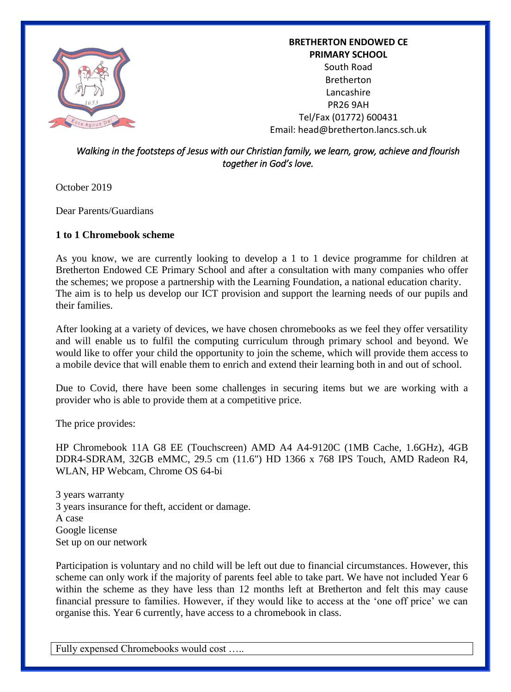

**BRETHERTON ENDOWED CE PRIMARY SCHOOL** South Road Bretherton Lancashire PR26 9AH Tel/Fax (01772) 600431 Email: head@bretherton.lancs.sch.uk

## *Walking in the footsteps of Jesus with our Christian family, we learn, grow, achieve and flourish together in God's love.*

October 2019

Dear Parents/Guardians

## **1 to 1 Chromebook scheme**

As you know, we are currently looking to develop a 1 to 1 device programme for children at Bretherton Endowed CE Primary School and after a consultation with many companies who offer the schemes; we propose a partnership with the Learning Foundation, a national education charity. The aim is to help us develop our ICT provision and support the learning needs of our pupils and their families.

After looking at a variety of devices, we have chosen chromebooks as we feel they offer versatility and will enable us to fulfil the computing curriculum through primary school and beyond. We would like to offer your child the opportunity to join the scheme, which will provide them access to a mobile device that will enable them to enrich and extend their learning both in and out of school.

Due to Covid, there have been some challenges in securing items but we are working with a provider who is able to provide them at a competitive price.

The price provides:

HP Chromebook 11A G8 EE (Touchscreen) AMD A4 A4-9120C (1MB Cache, 1.6GHz), 4GB DDR4-SDRAM, 32GB eMMC, 29.5 cm (11.6") HD 1366 x 768 IPS Touch, AMD Radeon R4, WLAN, HP Webcam, Chrome OS 64-bi

3 years warranty 3 years insurance for theft, accident or damage. A case Google license Set up on our network

Participation is voluntary and no child will be left out due to financial circumstances. However, this scheme can only work if the majority of parents feel able to take part. We have not included Year 6 within the scheme as they have less than 12 months left at Bretherton and felt this may cause financial pressure to families. However, if they would like to access at the 'one off price' we can organise this. Year 6 currently, have access to a chromebook in class.

Fully expensed Chromebooks would cost …..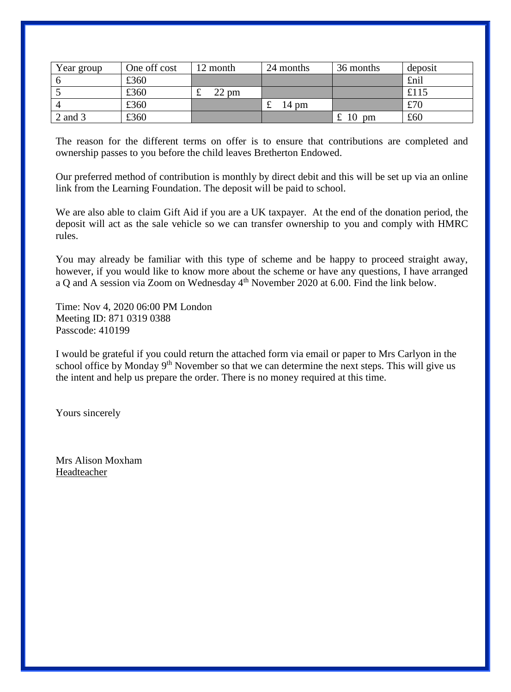| Year group | One off cost | 12 month        | 24 months | 36 months                 | deposit |
|------------|--------------|-----------------|-----------|---------------------------|---------|
|            | £360         |                 |           |                           | £nil    |
|            | £360         | $22 \text{ pm}$ |           |                           | £115    |
|            | £360         |                 | 14 pm     |                           | £70     |
| 2 and 3    | £360         |                 |           | 10<br>£<br>$_{\text{pm}}$ | £60     |

The reason for the different terms on offer is to ensure that contributions are completed and ownership passes to you before the child leaves Bretherton Endowed.

Our preferred method of contribution is monthly by direct debit and this will be set up via an online link from the Learning Foundation. The deposit will be paid to school.

We are also able to claim Gift Aid if you are a UK taxpayer. At the end of the donation period, the deposit will act as the sale vehicle so we can transfer ownership to you and comply with HMRC rules.

You may already be familiar with this type of scheme and be happy to proceed straight away, however, if you would like to know more about the scheme or have any questions, I have arranged a Q and A session via Zoom on Wednesday 4<sup>th</sup> November 2020 at 6.00. Find the link below.

Time: Nov 4, 2020 06:00 PM London Meeting ID: 871 0319 0388 Passcode: 410199

I would be grateful if you could return the attached form via email or paper to Mrs Carlyon in the school office by Monday  $9<sup>th</sup>$  November so that we can determine the next steps. This will give us the intent and help us prepare the order. There is no money required at this time.

Yours sincerely

Mrs Alison Moxham Headteacher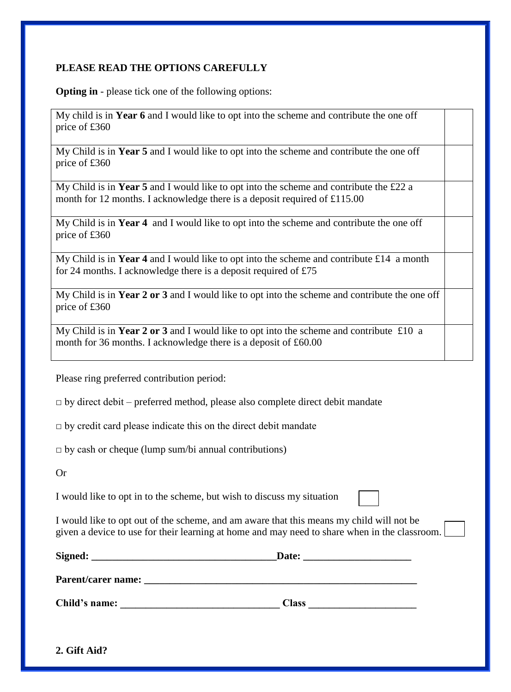## **PLEASE READ THE OPTIONS CAREFULLY**

**Opting in** - please tick one of the following options:

My child is in **Year 6** and I would like to opt into the scheme and contribute the one off price of £360

My Child is in **Year 5** and I would like to opt into the scheme and contribute the one off price of £360

My Child is in **Year 5** and I would like to opt into the scheme and contribute the £22 a month for 12 months. I acknowledge there is a deposit required of £115.00

My Child is in **Year 4** and I would like to opt into the scheme and contribute the one off price of £360

My Child is in **Year 4** and I would like to opt into the scheme and contribute £14 a month for 24 months. I acknowledge there is a deposit required of £75

My Child is in **Year 2 or 3** and I would like to opt into the scheme and contribute the one off price of £360

My Child is in **Year 2 or 3** and I would like to opt into the scheme and contribute £10 a month for 36 months. I acknowledge there is a deposit of £60.00

Please ring preferred contribution period:

 $\Box$  by direct debit – preferred method, please also complete direct debit mandate

 $\Box$  by credit card please indicate this on the direct debit mandate

 $\Box$  by cash or cheque (lump sum/bi annual contributions)

Or

I would like to opt in to the scheme, but wish to discuss my situation

I would like to opt out of the scheme, and am aware that this means my child will not be given a device to use for their learning at home and may need to share when in the classroom.

| Signed:                   | Date:        |  |  |
|---------------------------|--------------|--|--|
| <b>Parent/carer name:</b> |              |  |  |
| Child's name:             | <b>Class</b> |  |  |

**2. Gift Aid?**